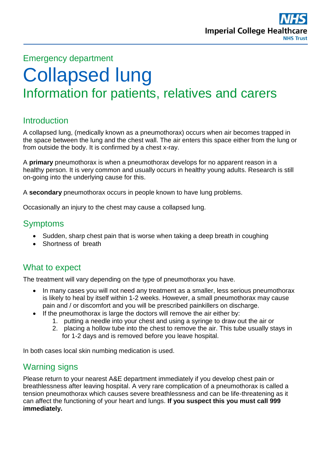

## Emergency department

# Collapsed lung Information for patients, relatives and carers

## **Introduction**

A collapsed lung, (medically known as a pneumothorax) occurs when air becomes trapped in the space between the lung and the chest wall. The air enters this space either from the lung or from outside the body. It is confirmed by a chest x-ray.

A **primary** pneumothorax is when a pneumothorax develops for no apparent reason in a healthy person. It is very common and usually occurs in healthy young adults. Research is still on-going into the underlying cause for this.

A **secondary** pneumothorax occurs in people known to have lung problems.

Occasionally an injury to the chest may cause a collapsed lung.

### Symptoms

- Sudden, sharp chest pain that is worse when taking a deep breath in coughing
- Shortness of breath

## What to expect

The treatment will vary depending on the type of pneumothorax you have.

- In many cases you will not need any treatment as a smaller, less serious pneumothorax is likely to heal by itself within 1-2 weeks. However, a small pneumothorax may cause pain and / or discomfort and you will be prescribed painkillers on discharge.
- If the pneumothorax is large the doctors will remove the air either by:
	- 1. putting a needle into your chest and using a syringe to draw out the air or
	- 2. placing a hollow tube into the chest to remove the air. This tube usually stays in for 1-2 days and is removed before you leave hospital.

In both cases local skin numbing medication is used.

# Warning signs

Please return to your nearest A&E department immediately if you develop chest pain or breathlessness after leaving hospital. A very rare complication of a pneumothorax is called a tension pneumothorax which causes severe breathlessness and can be life-threatening as it can affect the functioning of your heart and lungs. **If you suspect this you must call 999 immediately.**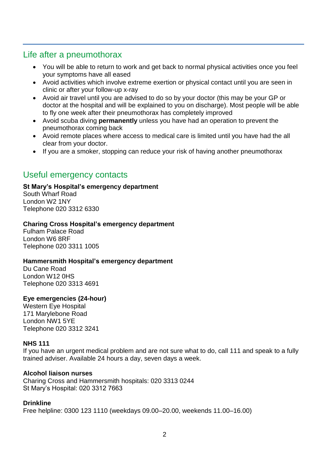## Life after a pneumothorax

- You will be able to return to work and get back to normal physical activities once you feel your symptoms have all eased
- Avoid activities which involve extreme exertion or physical contact until you are seen in clinic or after your follow-up x-ray
- Avoid air travel until you are advised to do so by your doctor (this may be your GP or doctor at the hospital and will be explained to you on discharge). Most people will be able to fly one week after their pneumothorax has completely improved
- Avoid scuba diving **permanently** unless you have had an operation to prevent the pneumothorax coming back
- Avoid remote places where access to medical care is limited until you have had the all clear from your doctor.
- If you are a smoker, stopping can reduce your risk of having another pneumothorax

# Useful emergency contacts

#### **St Mary's Hospital's emergency department**

South Wharf Road London W2 1NY Telephone 020 3312 6330

#### **Charing Cross Hospital's emergency department**

Fulham Palace Road London W6 8RF Telephone 020 3311 1005

#### **Hammersmith Hospital's emergency department**

Du Cane Road London W12 0HS Telephone 020 3313 4691

#### **Eye emergencies (24-hour)**

Western Eye Hospital 171 Marylebone Road London NW1 5YE Telephone 020 3312 3241

#### **NHS 111**

If you have an urgent medical problem and are not sure what to do, call 111 and speak to a fully trained adviser. Available 24 hours a day, seven days a week.

#### **Alcohol liaison nurses**

Charing Cross and Hammersmith hospitals: 020 3313 0244 St Mary's Hospital: 020 3312 7663

#### **Drinkline**

Free helpline: 0300 123 1110 (weekdays 09.00–20.00, weekends 11.00–16.00)